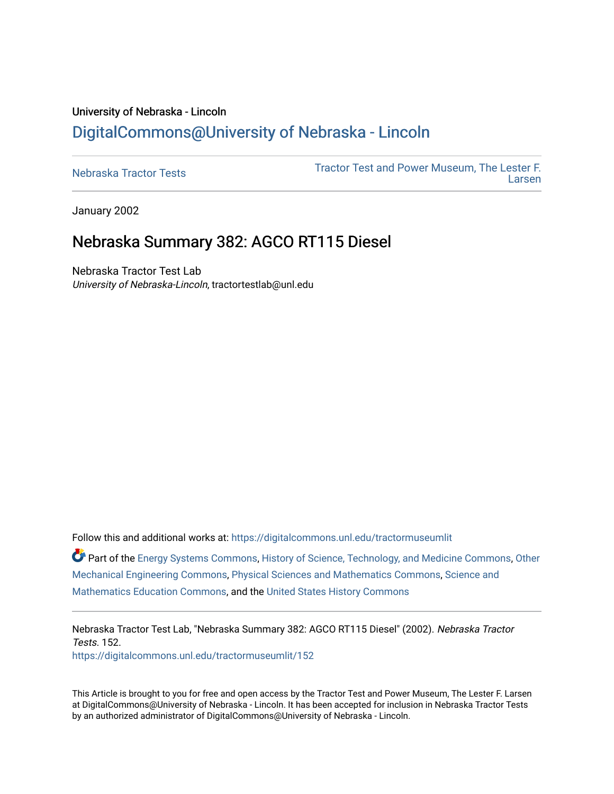## University of Nebraska - Lincoln [DigitalCommons@University of Nebraska - Lincoln](https://digitalcommons.unl.edu/)

[Nebraska Tractor Tests](https://digitalcommons.unl.edu/tractormuseumlit) [Tractor Test and Power Museum, The Lester F.](https://digitalcommons.unl.edu/tractor_museum)  [Larsen](https://digitalcommons.unl.edu/tractor_museum) 

January 2002

# Nebraska Summary 382: AGCO RT115 Diesel

Nebraska Tractor Test Lab University of Nebraska-Lincoln, tractortestlab@unl.edu

Follow this and additional works at: [https://digitalcommons.unl.edu/tractormuseumlit](https://digitalcommons.unl.edu/tractormuseumlit?utm_source=digitalcommons.unl.edu%2Ftractormuseumlit%2F152&utm_medium=PDF&utm_campaign=PDFCoverPages)

Part of the [Energy Systems Commons,](http://network.bepress.com/hgg/discipline/299?utm_source=digitalcommons.unl.edu%2Ftractormuseumlit%2F152&utm_medium=PDF&utm_campaign=PDFCoverPages) [History of Science, Technology, and Medicine Commons,](http://network.bepress.com/hgg/discipline/500?utm_source=digitalcommons.unl.edu%2Ftractormuseumlit%2F152&utm_medium=PDF&utm_campaign=PDFCoverPages) [Other](http://network.bepress.com/hgg/discipline/304?utm_source=digitalcommons.unl.edu%2Ftractormuseumlit%2F152&utm_medium=PDF&utm_campaign=PDFCoverPages)  [Mechanical Engineering Commons,](http://network.bepress.com/hgg/discipline/304?utm_source=digitalcommons.unl.edu%2Ftractormuseumlit%2F152&utm_medium=PDF&utm_campaign=PDFCoverPages) [Physical Sciences and Mathematics Commons,](http://network.bepress.com/hgg/discipline/114?utm_source=digitalcommons.unl.edu%2Ftractormuseumlit%2F152&utm_medium=PDF&utm_campaign=PDFCoverPages) [Science and](http://network.bepress.com/hgg/discipline/800?utm_source=digitalcommons.unl.edu%2Ftractormuseumlit%2F152&utm_medium=PDF&utm_campaign=PDFCoverPages)  [Mathematics Education Commons,](http://network.bepress.com/hgg/discipline/800?utm_source=digitalcommons.unl.edu%2Ftractormuseumlit%2F152&utm_medium=PDF&utm_campaign=PDFCoverPages) and the [United States History Commons](http://network.bepress.com/hgg/discipline/495?utm_source=digitalcommons.unl.edu%2Ftractormuseumlit%2F152&utm_medium=PDF&utm_campaign=PDFCoverPages)

Nebraska Tractor Test Lab, "Nebraska Summary 382: AGCO RT115 Diesel" (2002). Nebraska Tractor Tests. 152.

[https://digitalcommons.unl.edu/tractormuseumlit/152](https://digitalcommons.unl.edu/tractormuseumlit/152?utm_source=digitalcommons.unl.edu%2Ftractormuseumlit%2F152&utm_medium=PDF&utm_campaign=PDFCoverPages)

This Article is brought to you for free and open access by the Tractor Test and Power Museum, The Lester F. Larsen at DigitalCommons@University of Nebraska - Lincoln. It has been accepted for inclusion in Nebraska Tractor Tests by an authorized administrator of DigitalCommons@University of Nebraska - Lincoln.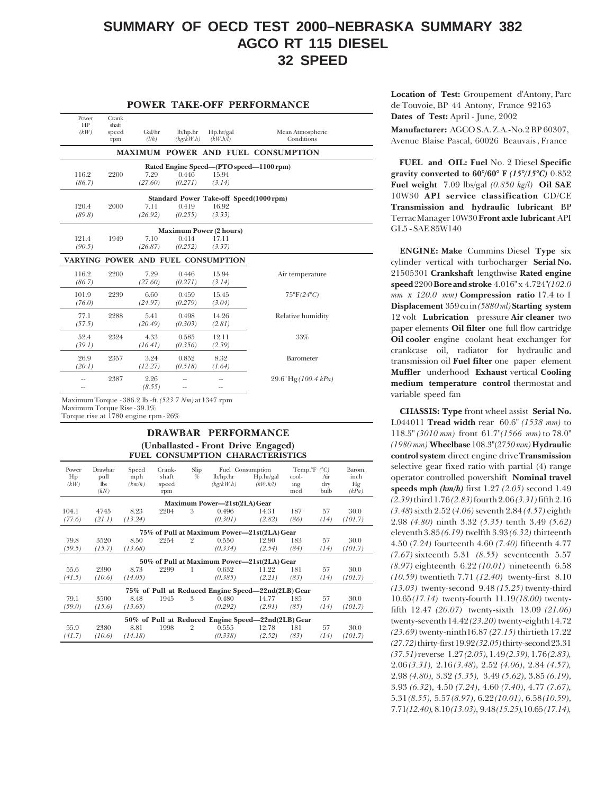## **SUMMARY OF OECD TEST 2000–NEBRASKA SUMMARY 382 AGCO RT 115 DIESEL 32 SPEED**

#### **POWER TAKE-OFF PERFORMANCE**

|                                           |                                         |           |         | Crank<br>shaft | Power<br>HP |
|-------------------------------------------|-----------------------------------------|-----------|---------|----------------|-------------|
| Mean Atmospheric                          | Hp/hr/gal                               | lb/hp.hr  | Gal/hr  | speed          | (kW)        |
| Conditions                                | (kW.h/l)                                | (kg/kW.h) | (l/h)   | rpm            |             |
| <b>MAXIMUM POWER AND FUEL CONSUMPTION</b> |                                         |           |         |                |             |
|                                           | Rated Engine Speed-(PTO speed-1100 rpm) |           |         |                |             |
|                                           | 15.94                                   | 0.446     | 7.29    | 2200           | 116.2       |
|                                           | (3.14)                                  | (0.271)   | (27.60) |                | (86.7)      |
|                                           | Standard Power Take-off Speed(1000rpm)  |           |         |                |             |
|                                           | 16.92                                   | 0.419     | 7.11    | 2000           | 120.4       |
|                                           | (3.33)                                  | (0.255)   | (26.92) |                | (89.8)      |
|                                           | <b>Maximum Power (2 hours)</b>          |           |         |                |             |
|                                           | 17.11                                   | 0.414     | 7.10    | 1949           | 121.4       |
|                                           | (3.37)                                  | (0.252)   | (26.87) |                | (90.5)      |
|                                           |                                         |           |         |                |             |
|                                           | VARYING POWER AND FUEL CONSUMPTION      |           |         |                |             |
| Air temperature                           | 15.94                                   | 0.446     | 7.29    | 2200           | 116.2       |
|                                           | (3.14)                                  | (0.271)   | (27.60) |                | (86.7)      |
| $75^{\circ}F(24^{\circ}C)$                | 15.45                                   | 0.459     | 6.60    | 2239           | 101.9       |
|                                           | (3.04)                                  | (0.279)   | (24.97) |                | (76.0)      |
| Relative humidity                         | 14.26                                   | 0.498     | 5.41    | 2288           | 77.1        |
|                                           | (2.81)                                  | (0.303)   | (20.49) |                | (57.5)      |
| 33%                                       | 12.11                                   | 0.585     | 4.33    | 2324           | 52.4        |
|                                           | (2.39)                                  | (0.356)   | (16.41) |                | (39.1)      |
| Barometer                                 | 8.32                                    | 0.852     | 3.24    | 2357           | 26.9        |
|                                           | (1.64)                                  | (0.518)   | (12.27) |                | (20.1)      |
| 29.6" Hg(100.4 kPa)                       |                                         |           | 2.26    | 2387           |             |

Maximum Torque - 386.2 lb.-ft. *(523.7 Nm)* at 1347 rpm Maximum Torque Rise - 39.1%

Torque rise at 1780 engine rpm - 26%

#### **DRAWBAR PERFORMANCE (Unballasted - Front Drive Engaged) FUEL CONSUMPTION CHARACTERISTICS**

| Power<br>Hp<br>(kW) | Drawbar<br>pull<br>$\mathbf{lbs}$<br>(kN) | Speed<br>mph<br>(km/h) | Crank-<br>shaft<br>speed<br>rpm | Slip<br>$\%$   | lb/hp.hr<br>(kg/kW.h)                              | Fuel Consumption<br>Hp/hr/gal<br>(kW.h/l) | Temp. $\mathcal{F}$ ( $\mathcal{C}$ )<br>cool-<br>ing<br>med | Air<br>$\rm{d}r\rm{v}$<br>bulb | Barom.<br>inch<br>Hg<br>(kPa) |
|---------------------|-------------------------------------------|------------------------|---------------------------------|----------------|----------------------------------------------------|-------------------------------------------|--------------------------------------------------------------|--------------------------------|-------------------------------|
|                     |                                           |                        |                                 |                | Maximum Power-21st(2LA) Gear                       |                                           |                                                              |                                |                               |
| 104.1<br>(77.6)     | 4745<br>(21.1)                            | 8.23<br>(13.24)        | 2204                            | 3              | 0.496<br>(0.301)                                   | 14.31<br>(2.82)                           | 187<br>(86)                                                  | 57<br>(14)                     | 30.0<br>(101.7)               |
|                     |                                           |                        |                                 |                | 75% of Pull at Maximum Power-21st(2LA) Gear        |                                           |                                                              |                                |                               |
| 79.8                | 3520                                      | 8.50                   | 2254                            | $\overline{2}$ | 0.550                                              | 12.90                                     | 183                                                          | 57                             | 30.0                          |
| (59.5)              | (15.7)                                    | (13.68)                |                                 |                | (0.334)                                            | (2.54)                                    | (84)                                                         | (14)                           | (101.7)                       |
|                     |                                           |                        |                                 |                | 50% of Pull at Maximum Power-21st(2LA) Gear        |                                           |                                                              |                                |                               |
| 55.6                | 2390                                      | 8.73                   | 2299                            | 1              | 0.632                                              | 11.22                                     | 181                                                          | 57                             | 30.0                          |
| (41.5)              | (10.6)                                    | (14.05)                |                                 |                | (0.385)                                            | (2.21)                                    | (83)                                                         | (14)                           | (101.7)                       |
|                     |                                           |                        |                                 |                | 75% of Pull at Reduced Engine Speed-22nd(2LB) Gear |                                           |                                                              |                                |                               |
| 79.1                | 3500                                      | 8.48                   | 1945                            | 3              | 0.480                                              | 14.77                                     | 185                                                          | 57                             | 30.0                          |
| (59.0)              | (15.6)                                    | (13.65)                |                                 |                | (0.292)                                            | (2.91)                                    | (85)                                                         | (14)                           | (101.7)                       |
|                     |                                           |                        |                                 |                | 50% of Pull at Reduced Engine Speed-22nd(2LB) Gear |                                           |                                                              |                                |                               |
| 55.9                | 2380                                      | 8.81                   | 1998                            | $\overline{2}$ | 0.555                                              | 12.78                                     | 181                                                          | 57                             | 30.0                          |
| (41.7)              | (10.6)                                    | (14.18)                |                                 |                | (0.338)                                            | (2.52)                                    | (83)                                                         | (14)                           | (101.7)                       |

**Location of Test:** Groupement d'Antony, Parc de Touvoie, BP 44 Antony, France 92163 **Dates of Test:** April - June, 2002

**Manufacturer:** AGCO S.A. Z.A.-No.2 BP 60307, Avenue Blaise Pascal, 60026 Beauvais , France

 **FUEL and OIL: Fuel** No. 2 Diesel **Specific gravity converted to 60°/60° F** *(15°/15°C)* 0.852 **Fuel weight** 7.09 lbs/gal *(0.850 kg/l)* **Oil SAE** 10W30 **API service classification** CD/CE **Transmission and hydraulic lubricant** BP Terrac Manager 10W30 **Front axle lubricant** API GL5 - SAE 85W140

**ENGINE: Make** Cummins Diesel **Type** six cylinder vertical with turbocharger **Serial No.** 21505301 **Crankshaft** lengthwise **Rated engine speed** 2200 **Bore and stroke** 4.016" x 4.724"*(102.0 mm x 120.0 mm)* **Compression ratio** 17.4 to 1 **Displacement** 359 cu in *(5880 ml)***Starting system** 12 volt **Lubrication** pressure **Air cleaner** two paper elements **Oil filter** one full flow cartridge **Oil cooler** engine coolant heat exchanger for crankcase oil, radiator for hydraulic and transmission oil **Fuel filter** one paper element **Muffler** underhood **Exhaust** vertical **Cooling medium temperature control** thermostat and variable speed fan

**CHASSIS: Type** front wheel assist **Serial No.** L044011 **Tread width** rear 60.6" *(1538 mm)* to 118.5" *(3010 mm)* front 61.7"*(1566 mm)* to 78.0" *(1980 mm)* **Wheelbase** 108.3"(*2750mm)* **Hydraulic control system** direct engine drive **Transmission** selective gear fixed ratio with partial (4) range operator controlled powershift **Nominal travel speeds mph** *(km/h)* first 1.27 *(2.05)* second 1.49 *(2.39)* third 1.76 *(2.83)* fourth 2.06 *(3.31)* fifth 2.16 *(3.48)* sixth 2.52 (*4.06)* seventh 2.84 *(4.57)* eighth 2.98 *(4.80)* ninth 3.32 *(5.35)* tenth 3.49 *(5.62)* eleventh 3.85 *(6.19)* twelfth 3.93 *(6.32)* thirteenth 4.50 (*7.24)* fourteenth 4.60 *(7.40)* fifteenth 4.77 *(7.67)* sixteenth 5.31 *(8.55)* seventeenth 5.57 *(8.97)* eighteenth 6.22 *(10.01)* nineteenth 6.58 *(10.59)* twentieth 7.71 *(12.40)* twenty-first 8.10 *(13.03)* twenty-second 9.48 *(15.25)* twenty-third 10.65 *(17.14)* twenty-fourth 11.19 *(18.00)* twentyfifth 12.47 *(20.07)* twenty-sixth 13.09 *(21.06)* twenty-seventh 14.42 *(23.20)* twenty-eighth 14.72 *(23.69)* twenty-ninth16.87 *(27.15)* thirtieth 17.22 *(27.72)* thirty-first 19.92 *(32.05)* thirty-second 23.31 *(37.51)* reverse 1.27 *(2.05)*, 1.49 *(2.39),* 1.76 *(2.83),* 2.06 *(3.31),* 2.16 *(3.48)*, 2.52 *(4.06)*, 2.84 *(4.57),* 2.98 *(4.80),* 3.32 *(5.35),* 3.49 *(5.62)*, 3.85 *(6.19)*, 3.93 *(6.32*), 4.50 *(7.24)*, 4.60 *(7.40)*, 4.77 *(7.67),* 5.31 *(8.55),* 5.57 *(8.97)*, 6.22 *(10.01)*, 6.58 *(10.59)*, 7.71*(12.40),* 8.10 *(13.03)*, 9.48 *(15.25),*10.65 *(17.14),*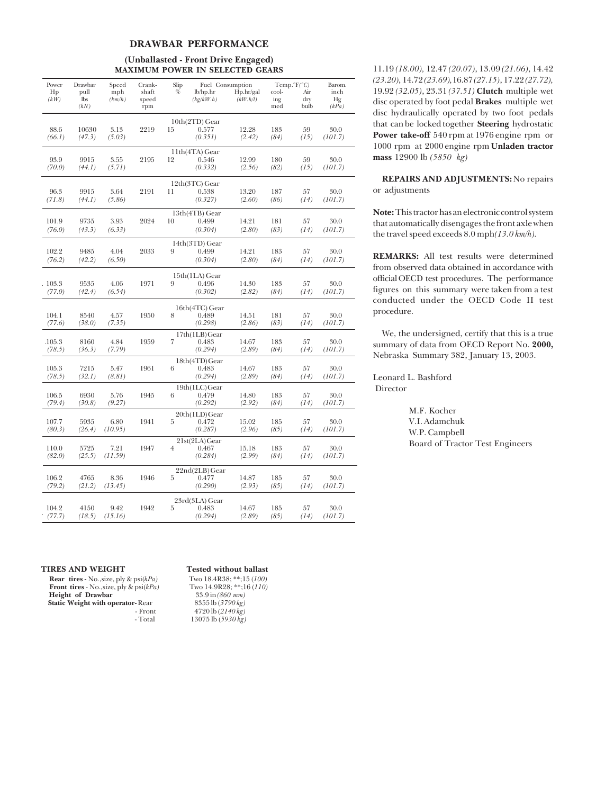#### **DRAWBAR PERFORMANCE**

### **(Unballasted - Front Drive Engaged) MAXIMUM POWER IN SELECTED GEARS**

| Power<br>Hp    | Drawbar<br>pull    | Speed<br>mph   | Crank-<br>shaft | Slip<br>%      | Fuel Consumption<br>lb/hp/hr | Hp.hr/gal       | cool-       | $Temp.^{\circ}F(^{\circ}C)$<br>Air | Barom.<br>inch  |
|----------------|--------------------|----------------|-----------------|----------------|------------------------------|-----------------|-------------|------------------------------------|-----------------|
| (kW)           | <b>lbs</b><br>(kN) | (km/h)         | speed<br>rpm    |                | (kg/kW.h)                    | (kW.h/l)        | ing<br>med  | dry<br>bulb                        | Hg<br>(kPa)     |
|                |                    |                |                 |                | $10th(2TD)$ Gear             |                 |             |                                    |                 |
| 88.6           | 10630              | 3.13           | 2219            | 15             | 0.577                        | 12.28           | 183         | 59                                 | 30.0            |
| (66.1)         | (47.3)             | (5.03)         |                 |                | (0.351)                      | (2.42)          | (84)        | (15)                               | (101.7)         |
|                |                    |                |                 |                | $11th(4TA)$ Gear             |                 |             |                                    |                 |
| 93.9<br>(70.0) | 9915<br>(44.1)     | 3.55<br>(5.71) | 2195            | 12             | 0.546<br>(0.332)             | 12.99<br>(2.56) | 180<br>(82) | 59<br>(15)                         | 30.0<br>(101.7) |
|                |                    |                |                 |                |                              |                 |             |                                    |                 |
| 96.3           | 9915               | 3.64           | 2191            | 11             | 12th(3TC) Gear<br>0.538      | 13.20           | 187         | 57                                 | 30.0            |
| (71.8)         | (44.1)             | (5.86)         |                 |                | (0.327)                      | (2.60)          | (86)        | (14)                               | (101.7)         |
|                |                    |                |                 |                | 13 <sup>th</sup> (4TB) Gear  |                 |             |                                    |                 |
| 101.9          | 9735               | 3.93           | 2024            | 10             | 0.499                        | 14.21           | 181         | 57                                 | 30.0            |
| (76.0)         | (43.3)             | (6.33)         |                 |                | (0.304)                      | (2.80)          | (83)        | (14)                               | (101.7)         |
|                |                    |                |                 |                | 14th(3TD) Gear               |                 |             |                                    |                 |
| 102.2          | 9485               | 4.04           | 2033            | 9              | 0.499                        | 14.21           | 183         | 57                                 | 30.0            |
| (76.2)         | (42.2)             | (6.50)         |                 |                | (0.304)                      | (2.80)          | (84)        | (14)                               | (101.7)         |
|                |                    |                |                 |                | 15th(1LA) Gear               |                 |             |                                    |                 |
| .103.3         | 9535               | 4.06           | 1971            | 9              | 0.496                        | 14.30           | 183         | 57                                 | 30.0            |
| (77.0)         | (42.4)             | (6.54)         |                 |                | (0.302)                      | (2.82)          | (84)        | (14)                               | (101.7)         |
|                |                    |                |                 |                | 16th(4TC) Gear               |                 |             |                                    |                 |
| 104.1          | 8540               | 4.57           | 1950            | 8              | 0.489                        | 14.51           | 181         | 57                                 | 30.0            |
| (77.6)         | (38.0)             | (7.35)         |                 |                | (0.298)                      | (2.86)          | (83)        | (14)                               | (101.7)         |
| $-105.3$       | 8160               | 4.84           | 1959            | $\overline{7}$ | 17th(1LB)Gear<br>0.483       | 14.67           | 183         | 57                                 | 30.0            |
| (78.5)         | (36.3)             | (7.79)         |                 |                | (0.294)                      | (2.89)          | (84)        | (14)                               | (101.7)         |
|                |                    |                |                 |                | 18th(4TD)Gear                |                 |             |                                    |                 |
| 105.3          | 7215               | 5.47           | 1961            | 6              | 0.483                        | 14.67           | 183         | 57                                 | 30.0            |
| (78.5)         | (32.1)             | (8.81)         |                 |                | (0.294)                      | (2.89)          | (84)        | (14)                               | (101.7)         |
| 106.5          | 6930               | 5.76           | 1945            | 6              | 19th(1LC)Gear<br>0.479       | 14.80           | 183         | 57                                 | 30.0            |
| (79.4)         | (30.8)             | (9.27)         |                 |                | (0.292)                      | (2.92)          | (84)        | (14)                               | (101.7)         |
|                |                    |                |                 |                | 20th(1LD)Gear                |                 |             |                                    |                 |
| 107.7          | 5935               | 6.80           | 1941            | 5              | 0.472                        | 15.02           | 185         | 57                                 | 30.0            |
| (80.3)         | (26.4)             | (10.95)        |                 |                | (0.287)                      | (2.96)          | (85)        | (14)                               | (101.7)         |
| 110.0          | 5725               | 7.21           | 1947            | $\overline{4}$ | 21st(2LA)Gear<br>0.467       | 15.18           | 183         | 57                                 | 30.0            |
| (82.0)         | (25.5)             | (11.59)        |                 |                | (0.284)                      | (2.99)          | (84)        | (14)                               | (101.7)         |
|                |                    |                |                 |                | 22nd(2LB)Gear                |                 |             |                                    |                 |
| 106.2          | 4765               | 8.36           | 1946            | 5              | 0.477                        | 14.87           | 185         | 57                                 | 30.0            |
| (79.2)         | (21.2)             | (13.45)        |                 |                | (0.290)                      | (2.93)          | (85)        | (14)                               | (101.7)         |
| 23rd(3LA) Gear |                    |                |                 |                |                              |                 |             |                                    |                 |
| 104.2          | 4150               | 9.42           | 1942            | 5              | 0.483                        | 14.67           | 185         | 57                                 | 30.0            |
| (77.7)         | (18.5)             | (15.16)        |                 |                | (0.294)                      | (2.89)          | (85)        | (14)                               | (101.7)         |

11.19 *(18.00),* 12.47 *(20.07)*, 13.09 *(21.06)*, 14.42 *(23.20)*, 14.72 *(23.69),*16.87 *(27.15)*, 17.22 *(27.72),* 19.92 *(32.05)*, 23.31 *(37.51)* **Clutch** multiple wet disc operated by foot pedal **Brakes** multiple wet disc hydraulically operated by two foot pedals that can be locked together **Steering** hydrostatic **Power take-off** 540 rpm at 1976 engine rpm or 1000 rpm at 2000 engine rpm **Unladen tractor mass** 12900 lb *(5850 kg)*

**REPAIRS AND ADJUSTMENTS:** No repairs or adjustments

**Note:** This tractor has an electronic control system that automatically disengages the front axle when the travel speed exceeds 8.0 mph*(13.0 km/h).*

**REMARKS:** All test results were determined from observed data obtained in accordance with official OECD test procedures. The performance figures on this summary were taken from a test conducted under the OECD Code II test procedure.

We, the undersigned, certify that this is a true summary of data from OECD Report No. **2000,** Nebraska Summary 382, January 13, 2003.

Leonard L. Bashford **Director** 

> M.F. Kocher V.I. Adamchuk W.P. Campbell Board of Tractor Test Engineers

**TIRES AND WEIGHT Tested without ballast**<br>**Rear tires - No., size, ply & psi(kPa)** Two 18.4R38; \*\*;15 (100)<br>**Front tires - No., size, ply & psi(kPa)** Two 14.9R28; \*\*;16 (110) **Rear tires -** No., size, ply & psi( $kPa$ ) **Front tires - No.,size, ply & psi(***kPa***)** Two 14.9R28; \*\*;1<br> **Height of Drawbar** 33.9 in (860 mm)  **Height of Drawbar** 33.9 in *(860 mm)*<br> **Static Weight with operator-Rear** 8355 lb *(3790 kg)* **Static Weight with operator- Rear Front** 

- Front 4720 lb (2140 kg)<br>- Total 13075 lb (5930 kg) - Total 13075 lb (*5930 kg)*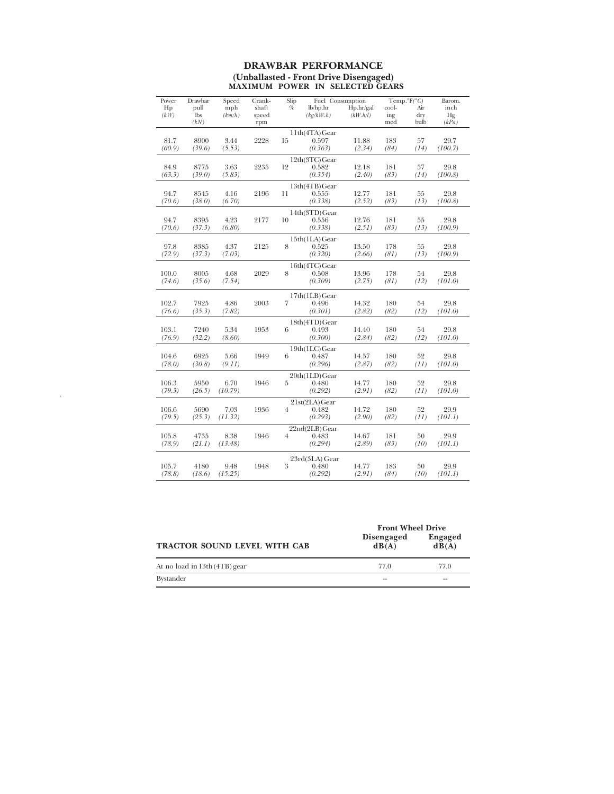#### **DRAWBAR PERFORMANCE (Unballasted - Front Drive Disengaged) MAXIMUM POWER IN SELECTED GEARS**

| Power        | Drawbar | Speed   | Crank- | Slip           | Fuel Consumption |           |       | Temp. $\degree$ F( $\degree$ C) | Barom.  |
|--------------|---------|---------|--------|----------------|------------------|-----------|-------|---------------------------------|---------|
| Hp           | pull    | mph     | shaft  | $\%$           | lb/hp/hr         | Hp.hr/gal | cool- | Air                             | inch    |
| $(k\dot{W})$ | lbs     | (km/h)  | speed  |                | (kg/kW.h)        | (kW.h/l)  | ing   | dry                             | Hg      |
|              | (kN)    |         | rpm    |                |                  |           | med   | bulb                            | (kPa)   |
|              |         |         |        |                | 11th(4TA)Gear    |           |       |                                 |         |
| 81.7         | 8900    | 3.44    | 2228   | 15             | 0.597            | 11.88     | 183   | 57                              | 29.7    |
| (60.9)       | (39.6)  | (5.53)  |        |                | (0.363)          | (2.34)    | (84)  | (14)                            | (100.7) |
|              |         |         |        |                | 12th(3TC)Gear    |           |       |                                 |         |
| 84.9         | 8775    | 3.63    | 2235   | 12             | 0.582            | 12.18     | 181   | 57                              | 29.8    |
| (63.3)       | (39.0)  | (5.83)  |        |                | (0.354)          | (2.40)    | (83)  | (14)                            | (100.8) |
|              |         |         |        |                | 13th(4TB)Gear    |           |       |                                 |         |
| 94.7         | 8545    | 4.16    | 2196   | 11             | 0.555            | 12.77     | 181   | 55                              | 29.8    |
| (70.6)       | (38.0)  | (6.70)  |        |                | (0.338)          | (2.52)    | (83)  | (13)                            | (100.8) |
|              |         |         |        |                | 14th(3TD)Gear    |           |       |                                 |         |
| 94.7         | 8395    | 4.23    | 2177   | 10             | 0.556            | 12.76     | 181   | 55                              | 29.8    |
| (70.6)       | (37.3)  | (6.80)  |        |                | (0.338)          | (2.51)    | (83)  | (13)                            | (100.9) |
|              |         |         |        |                | 15th(1LA)Gear    |           |       |                                 |         |
| 97.8         | 8385    | 4.37    | 2125   | 8              | 0.525            | 13.50     | 178   | 55                              | 29.8    |
| (72.9)       | (37.3)  | (7.03)  |        |                | (0.320)          | (2.66)    | (81)  | (13)                            | (100.9) |
|              |         |         |        |                | 16th(4TC)Gear    |           |       |                                 |         |
| 100.0        | 8005    | 4.68    | 2029   | 8              | 0.508            | 13.96     | 178   | 54                              | 29.8    |
| (74.6)       | (35.6)  | (7.54)  |        |                | (0.309)          | (2.75)    | (81)  | (12)                            | (101.0) |
|              |         |         |        |                |                  |           |       |                                 |         |
|              |         |         |        |                | 17th(1LB)Gear    |           |       |                                 |         |
| 102.7        | 7925    | 4.86    | 2003   | 7              | 0.496            | 14.32     | 180   | 54                              | 29.8    |
| (76.6)       | (35.3)  | (7.82)  |        |                | (0.301)          | (2.82)    | (82)  | (12)                            | (101.0) |
|              |         |         |        |                | 18th(4TD)Gear    |           |       |                                 |         |
| 103.1        | 7240    | 5.34    | 1953   | 6              | 0.493            | 14.40     | 180   | 54                              | 29.8    |
| (76.9)       | (32.2)  | (8.60)  |        |                | (0.300)          | (2.84)    | (82)  | (12)                            | (101.0) |
|              |         |         |        |                | 19th(1LC)Gear    |           |       |                                 |         |
| 104.6        | 6925    | 5.66    | 1949   | 6              | 0.487            | 14.57     | 180   | 52                              | 29.8    |
| (78.0)       | (30.8)  | (9.11)  |        |                | (0.296)          | (2.87)    | (82)  | (11)                            | (101.0) |
|              |         |         |        |                | 20th(1LD)Gear    |           |       |                                 |         |
| 106.3        | 5950    | 6.70    | 1946   | 5              | 0.480            | 14.77     | 180   | 52                              | 29.8    |
| (79.3)       | (26.5)  | (10.79) |        |                | (0.292)          | (2.91)    | (82)  | (11)                            | (101.0) |
|              |         |         |        |                | 21st(2LA)Gear    |           |       |                                 |         |
| 106.6        | 5690    | 7.03    | 1936   | $\overline{4}$ | 0.482            | 14.72     | 180   | 52                              | 29.9    |
| (79.5)       | (25.3)  | (11.32) |        |                | (0.293)          | (2.90)    | (82)  | (11)                            | (101.1) |
|              |         |         |        |                | 22nd(2LB)Gear    |           |       |                                 |         |
| 105.8        | 4735    | 8.38    | 1946   | $\overline{4}$ | 0.483            | 14.67     | 181   | 50                              | 29.9    |
| (78.9)       | (21.1)  | (13.48) |        |                | (0.294)          | (2.89)    | (83)  | (10)                            | (101.1) |
|              |         |         |        |                |                  |           |       |                                 |         |
|              |         |         |        |                | 23rd(3LA) Gear   |           |       |                                 |         |
| 105.7        | 4180    | 9.48    | 1948   | 3              | 0.480            | 14.77     | 183   | 50                              | 29.9    |
| (78.8)       | (18.6)  | (15.25) |        |                | (0.292)          | (2.91)    | (84)  | (10)                            | (101.1) |

 $\sim 10^6$ 

|                                     | <b>Front Wheel Drive</b> |                         |
|-------------------------------------|--------------------------|-------------------------|
| <b>TRACTOR SOUND LEVEL WITH CAB</b> | Disengaged<br>dB(A)      | <b>Engaged</b><br>dB(A) |
| At no load in 13th (4TB) gear       | 77.0                     | 77.0                    |
| <b>Bystander</b>                    | $-$                      | $-$                     |